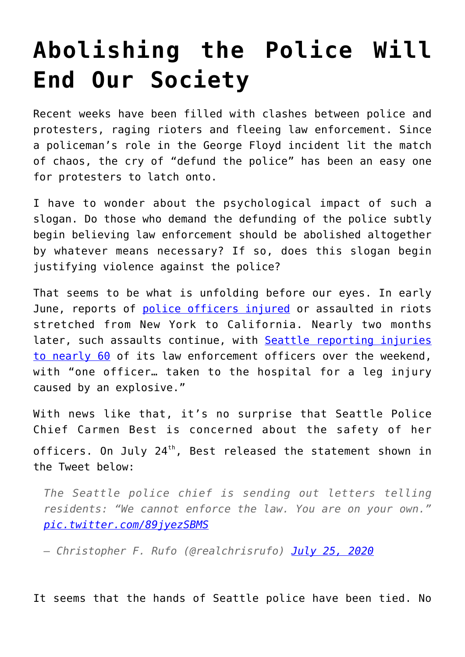## **[Abolishing the Police Will](https://intellectualtakeout.org/2020/07/abolishing-the-police-will-end-our-society/) [End Our Society](https://intellectualtakeout.org/2020/07/abolishing-the-police-will-end-our-society/)**

Recent weeks have been filled with clashes between police and protesters, raging rioters and fleeing law enforcement. Since a policeman's role in the George Floyd incident lit the match of chaos, the cry of "defund the police" has been an easy one for protesters to latch onto.

I have to wonder about the psychological impact of such a slogan. Do those who demand the defunding of the police subtly begin believing law enforcement should be abolished altogether by whatever means necessary? If so, does this slogan begin justifying violence against the police?

That seems to be what is unfolding before our eyes. In early June, reports of [police officers injured](https://www.foxnews.com/us/police-under-siege-attacks-on-law-enforcement-in-wake-of-george-floyds-death) or assaulted in riots stretched from New York to California. Nearly two months later, such assaults continue, with [Seattle reporting injuries](https://www.msn.com/en-us/news/crime/seattle-protests-several-arrested-59-officers-hurt-during-weekend-demonstrations/ar-BB17cu7Y) [to nearly 60](https://www.msn.com/en-us/news/crime/seattle-protests-several-arrested-59-officers-hurt-during-weekend-demonstrations/ar-BB17cu7Y) of its law enforcement officers over the weekend, with "one officer… taken to the hospital for a leg injury caused by an explosive."

With news like that, it's no surprise that Seattle Police Chief Carmen Best is concerned about the safety of her officers. On July 24<sup>th</sup>, Best released the statement shown in the Tweet below:

*The Seattle police chief is sending out letters telling residents: "We cannot enforce the law. You are on your own." [pic.twitter.com/89jyezSBMS](https://t.co/89jyezSBMS)*

*— Christopher F. Rufo (@realchrisrufo) [July 25, 2020](https://twitter.com/realchrisrufo/status/1286902138996572160?ref_src=twsrc%5Etfw)*

It seems that the hands of Seattle police have been tied. No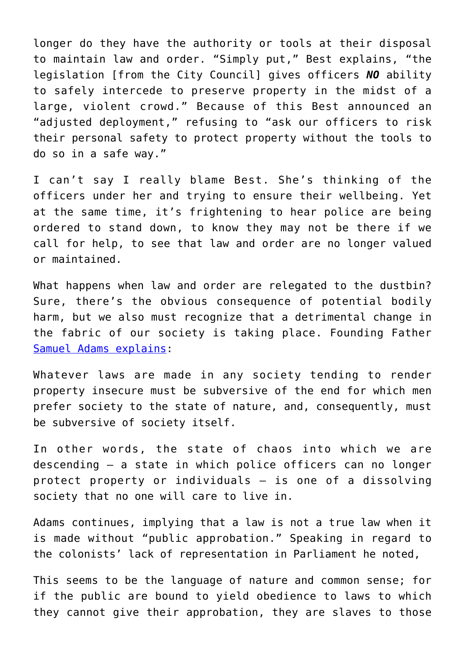longer do they have the authority or tools at their disposal to maintain law and order. "Simply put," Best explains, "the legislation [from the City Council] gives officers *NO* ability to safely intercede to preserve property in the midst of a large, violent crowd." Because of this Best announced an "adjusted deployment," refusing to "ask our officers to risk their personal safety to protect property without the tools to do so in a safe way."

I can't say I really blame Best. She's thinking of the officers under her and trying to ensure their wellbeing. Yet at the same time, it's frightening to hear police are being ordered to stand down, to know they may not be there if we call for help, to see that law and order are no longer valued or maintained.

What happens when law and order are relegated to the dustbin? Sure, there's the obvious consequence of potential bodily harm, but we also must recognize that a detrimental change in the fabric of our society is taking place. Founding Father [Samuel Adams explains](https://books.google.com/books?id=Vplpw49nqTIC&pg=PA456&lpg=PA456&dq=f+the+public+are+bound+to+yield+obedience+to+laws+to+which+they+cannot+give+their+approbation,+they+are+slaves+to+those+who+make+such+laws+and+enforce+them.&source=bl&ots=YgykZJuaN9&sig=ACfU3U1aCGHpHzTU6TQS-yFmhwGRn7yfhQ&hl=en&sa=X&ved=2ahUKEwi_4LTE7-3qAhXVLc0KHSUABD0Q6AEwAHoECAgQAQ#v=onepage&q=f%20the%20public%20are%20bound%20to%20yield%20obedience%20to%20laws%20to%20which%20they%20cannot%20give%20their%20approbation%2C%20they%20are%20slaves%20to%20those%20who%20make%20such%20laws%20and%20enforce%20them.&f=false):

Whatever laws are made in any society tending to render property insecure must be subversive of the end for which men prefer society to the state of nature, and, consequently, must be subversive of society itself.

In other words, the state of chaos into which we are descending – a state in which police officers can no longer protect property or individuals – is one of a dissolving society that no one will care to live in.

Adams continues, implying that a law is not a true law when it is made without "public approbation." Speaking in regard to the colonists' lack of representation in Parliament he noted,

This seems to be the language of nature and common sense; for if the public are bound to yield obedience to laws to which they cannot give their approbation, they are slaves to those